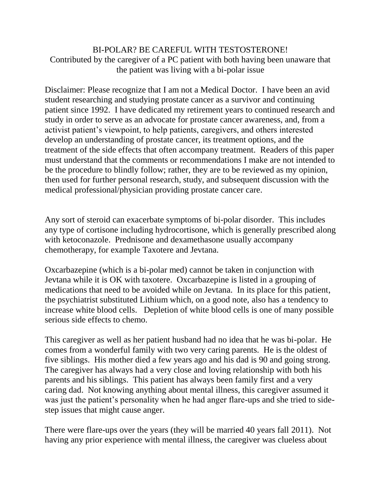## BI-POLAR? BE CAREFUL WITH TESTOSTERONE! Contributed by the caregiver of a PC patient with both having been unaware that the patient was living with a bi-polar issue

Disclaimer: Please recognize that I am not a Medical Doctor. I have been an avid student researching and studying prostate cancer as a survivor and continuing patient since 1992. I have dedicated my retirement years to continued research and study in order to serve as an advocate for prostate cancer awareness, and, from a activist patient's viewpoint, to help patients, caregivers, and others interested develop an understanding of prostate cancer, its treatment options, and the treatment of the side effects that often accompany treatment. Readers of this paper must understand that the comments or recommendations I make are not intended to be the procedure to blindly follow; rather, they are to be reviewed as my opinion, then used for further personal research, study, and subsequent discussion with the medical professional/physician providing prostate cancer care.

Any sort of steroid can exacerbate symptoms of bi-polar disorder. This includes any type of cortisone including hydrocortisone, which is generally prescribed along with ketoconazole. Prednisone and dexamethasone usually accompany chemotherapy, for example Taxotere and Jevtana.

Oxcarbazepine (which is a bi-polar med) cannot be taken in conjunction with Jevtana while it is OK with taxotere. Oxcarbazepine is listed in a grouping of medications that need to be avoided while on Jevtana. In its place for this patient, the psychiatrist substituted Lithium which, on a good note, also has a tendency to increase white blood cells. Depletion of white blood cells is one of many possible serious side effects to chemo.

This caregiver as well as her patient husband had no idea that he was bi-polar. He comes from a wonderful family with two very caring parents. He is the oldest of five siblings. His mother died a few years ago and his dad is 90 and going strong. The caregiver has always had a very close and loving relationship with both his parents and his siblings. This patient has always been family first and a very caring dad. Not knowing anything about mental illness, this caregiver assumed it was just the patient's personality when he had anger flare-ups and she tried to sidestep issues that might cause anger.

There were flare-ups over the years (they will be married 40 years fall 2011). Not having any prior experience with mental illness, the caregiver was clueless about